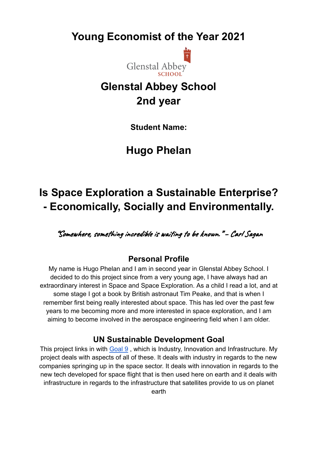**Young Economist of the Year 2021**



# **Glenstal Abbey School 2nd year**

**Student Name:**

### **Hugo Phelan**

# **Is Space Exploration a Sustainable Enterprise? - Economically, Socially and Environmentally.**

"Somewhere, something incredible is waiting to be known." – Carl Sagan

#### **Personal Profile**

My name is Hugo Phelan and I am in second year in Glenstal Abbey School. I decided to do this project since from a very young age, I have always had an extraordinary interest in Space and Space Exploration. As a child I read a lot, and at some stage I got a book by British astronaut Tim Peake, and that is when I remember first being really interested about space. This has led over the past few years to me becoming more and more interested in space exploration, and I am aiming to become involved in the aerospace engineering field when I am older.

#### **UN Sustainable Development Goal**

This project links in with [Goal 9](https://www.un.org/sustainabledevelopment/infrastructure-industrialization/), which is Industry, Innovation and Infrastructure. My project deals with aspects of all of these. It deals with industry in regards to the new companies springing up in the space sector. It deals with innovation in regards to the new tech developed for space flight that is then used here on earth and it deals with infrastructure in regards to the infrastructure that satellites provide to us on planet

earth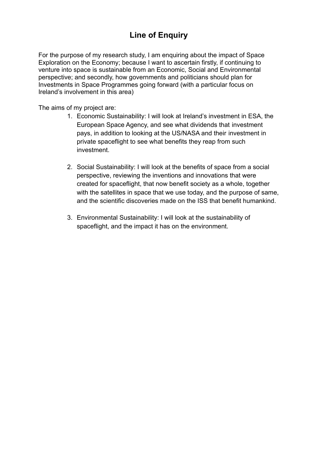### **Line of Enquiry**

For the purpose of my research study, I am enquiring about the impact of Space Exploration on the Economy; because I want to ascertain firstly, if continuing to venture into space is sustainable from an Economic, Social and Environmental perspective; and secondly, how governments and politicians should plan for Investments in Space Programmes going forward (with a particular focus on Ireland's involvement in this area)

The aims of my project are:

- 1. Economic Sustainability: I will look at Ireland's investment in ESA, the European Space Agency, and see what dividends that investment pays, in addition to looking at the US/NASA and their investment in private spaceflight to see what benefits they reap from such investment.
- 2. Social Sustainability: I will look at the benefits of space from a social perspective, reviewing the inventions and innovations that were created for spaceflight, that now benefit society as a whole, together with the satellites in space that we use today, and the purpose of same, and the scientific discoveries made on the ISS that benefit humankind.
- 3. Environmental Sustainability: I will look at the sustainability of spaceflight, and the impact it has on the environment.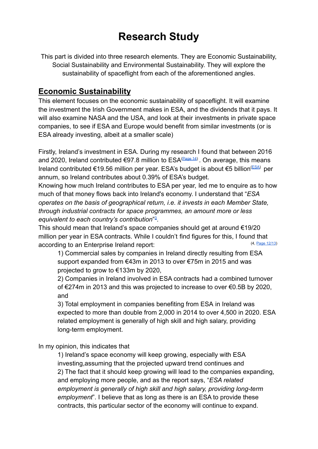# **Research Study**

This part is divided into three research elements. They are Economic Sustainability, Social Sustainability and Environmental Sustainability. They will explore the sustainability of spaceflight from each of the aforementioned angles.

#### **Economic Sustainability**

This element focuses on the economic sustainability of spaceflight. It will examine the investment the Irish Government makes in ESA, and the dividends that it pays. It will also examine NASA and the USA, and look at their investments in private space companies, to see if ESA and Europe would benefit from similar investments (or is ESA already investing, albeit at a smaller scale)

Firstly, Ireland's investment in ESA. During my research I found that between 2016 and 2020, Ireland contributed €97.8 million to ESA<sup>([Page](https://enterprise.gov.ie/en/Publications/Publication-files/National-Space-Strategy-for-Enterprise-2019-2025.pdf) 14)</sup>. On average, this means Ireland contributed €19.56 million per year. ESA's budget is about €5 billion<sup>[\(ESA\)](http://www.esa.int/About_Us/Corporate_news/ESA_facts)</sup> per annum, so Ireland contributes about 0.39% of ESA's budget.

Knowing how much Ireland contributes to ESA per year, led me to enquire as to how much of that money flows back into Ireland's economy. I understand that "*ESA operates on the basis of geographical return, i.e. it invests in each Member State, through industrial contracts for space programmes, an amount more or less* equivalent to each country's contribution"<sup>[3](https://www.esa.int/About_Us/Corporate_news/ESA_facts)</sup>.

This should mean that Ireland's space companies should get at around €19/20 million per year in ESA contracts. While I couldn't find figures for this, I found that according to an Enterprise Ireland report: (4, Page [12/13](https://enterprise.gov.ie/en/Publications/Publication-files/National-Space-Strategy-for-Enterprise-2019-2025.pdf))

1) Commercial sales by companies in Ireland directly resulting from ESA support expanded from €43m in 2013 to over €75m in 2015 and was projected to grow to €133m by 2020,

2) Companies in Ireland involved in ESA contracts had a combined turnover of €274m in 2013 and this was projected to increase to over €0.5B by 2020, and

3) Total employment in companies benefiting from ESA in Ireland was expected to more than double from 2,000 in 2014 to over 4,500 in 2020. ESA related employment is generally of high skill and high salary, providing long-term employment.

In my opinion, this indicates that

1) Ireland's space economy will keep growing, especially with ESA investing,assuming that the projected upward trend continues and 2) The fact that it should keep growing will lead to the companies expanding, and employing more people, and as the report says, "*ESA related employment is generally of high skill and high salary, providing long-term employment*". I believe that as long as there is an ESA to provide these contracts, this particular sector of the economy will continue to expand.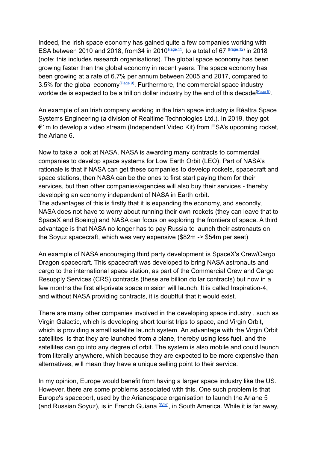Indeed, the Irish space economy has gained quite a few companies working with ESA between 2010 and 2018, from 34 in 2010  $\frac{\text{Page 11}}{\text{Page 12}}$  $\frac{\text{Page 11}}{\text{Page 12}}$  $\frac{\text{Page 11}}{\text{Page 12}}$ , to a total of 67  $\frac{(\text{Page 12})}{\text{Page 12}}$  in 2018 (note: this includes research organisations). The global space economy has been growing faster than the global economy in recent years. The space economy has been growing at a rate of 6.7% per annum between 2005 and 2017, compared to 3.5% for the global economy **Page 9**. Furthermore, the commercial space industry worldwide is expected to be a trillion dollar industry by the end of this decade  $(Paage 9)$ .

An example of an Irish company working in the Irish space industry is Réaltra Space Systems Engineering (a division of Realtime Technologies Ltd.). In 2019, they got €1m to develop a video stream (Independent Video Kit) from ESA's upcoming rocket, the Ariane 6.

Now to take a look at NASA. NASA is awarding many contracts to commercial companies to develop space systems for Low Earth Orbit (LEO). Part of NASA's rationale is that if NASA can get these companies to develop rockets, spacecraft and space stations, then NASA can be the ones to first start paying them for their services, but then other companies/agencies will also buy their services - thereby developing an economy independent of NASA in Earth orbit. The advantages of this is firstly that it is expanding the economy, and secondly, NASA does not have to worry about running their own rockets (they can leave that to SpaceX and Boeing) and NASA can focus on exploring the frontiers of space. A third advantage is that NASA no longer has to pay Russia to launch their astronauts on the Soyuz spacecraft, which was very expensive (\$82m -> \$54m per seat)

An example of NASA encouraging third party development is SpaceX's Crew/Cargo Dragon spacecraft. This spacecraft was developed to bring NASA astronauts and cargo to the international space station, as part of the Commercial Crew and Cargo Resupply Services (CRS) contracts (these are billion dollar contracts) but now in a few months the first all-private space mission will launch. It is called Inspiration-4, and without NASA providing contracts, it is doubtful that it would exist.

There are many other companies involved in the developing space industry , such as Virgin Galactic, which is developing short tourist trips to space, and Virgin Orbit, which is providing a small satellite launch system. An advantage with the Virgin Orbit satellites is that they are launched from a plane, thereby using less fuel, and the satellites can go into any degree of orbit. The system is also mobile and could launch from literally anywhere, which because they are expected to be more expensive than alternatives, will mean they have a unique selling point to their service.

In my opinion, Europe would benefit from having a larger space industry like the US. However, there are some problems associated with this. One such problem is that Europe's spaceport, used by the Arianespace organisation to launch the Ariane 5 (and Russian Soyuz), is in French Guiana ([Wiki](https://en.wikipedia.org/wiki/Guiana_Space_Centre)), in South America. While it is far away,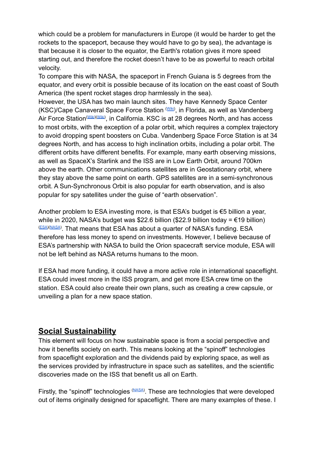which could be a problem for manufacturers in Europe (it would be harder to get the rockets to the spaceport, because they would have to go by sea), the advantage is that because it is closer to the equator, the Earth's rotation gives it more speed starting out, and therefore the rocket doesn't have to be as powerful to reach orbital velocity.

To compare this with NASA, the spaceport in French Guiana is 5 degrees from the equator, and every orbit is possible because of its location on the east coast of South America (the spent rocket stages drop harmlessly in the sea).

However, the USA has two main launch sites. They have Kennedy Space Center (KSC)/Cape Canaveral Space Force Station ([Wiki](https://en.wikipedia.org/wiki/Kennedy_Space_Center)), in Florida, as well as Vandenberg Air Force Station<sup>([Wiki](https://en.wikipedia.org/wiki/Vandenberg_Air_Force_Base))[\(Wiki\)](https://en.wikipedia.org/wiki/Vandenberg_Space_Launch_Complex_6)</sup>, in California. KSC is at 28 degrees North, and has access to most orbits, with the exception of a polar orbit, which requires a complex trajectory to avoid dropping spent boosters on Cuba. Vandenberg Space Force Station is at 34 degrees North, and has access to high inclination orbits, including a polar orbit. The different orbits have different benefits. For example, many earth observing missions, as well as SpaceX's Starlink and the ISS are in Low Earth Orbit, around 700km above the earth. Other communications satellites are in Geostationary orbit, where they stay above the same point on earth. GPS satellites are in a semi-synchronous orbit. A Sun-Synchronous Orbit is also popular for earth observation, and is also popular for spy satellites under the guise of "earth observation".

Another problem to ESA investing more, is that ESA's budget is €5 billion a year, while in 2020, NASA's budget was \$22.6 billion (\$22.9 billion today = €19 billion) [\(ESA\)](http://www.esa.int/About_Us/Corporate_news/ESA_facts)([NASA](https://www.planetary.org/space-policy/nasas-fy-2020-budget)) . That means that ESA has about a quarter of NASA's funding. ESA therefore has less money to spend on investments. However, I believe because of ESA's partnership with NASA to build the Orion spacecraft service module, ESA will not be left behind as NASA returns humans to the moon.

If ESA had more funding, it could have a more active role in international spaceflight. ESA could invest more in the ISS program, and get more ESA crew time on the station. ESA could also create their own plans, such as creating a crew capsule, or unveiling a plan for a new space station.

#### **Social Sustainability**

This element will focus on how sustainable space is from a social perspective and how it benefits society on earth. This means looking at the "spinoff" technologies from spaceflight exploration and the dividends paid by exploring space, as well as the services provided by infrastructure in space such as satellites, and the scientific discoveries made on the ISS that benefit us all on Earth.

Firstly, the "spinoff" technologies [\(NASA\)](https://www.nasa.gov/directorates/spacetech/new_interactive_website_homeandcity). These are technologies that were developed out of items originally designed for spaceflight. There are many examples of these. I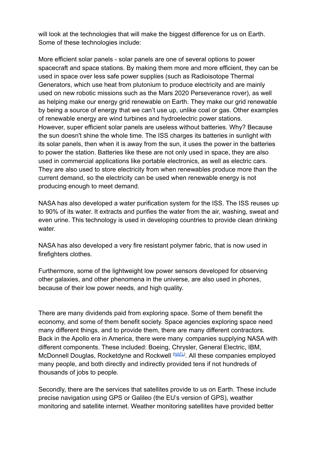will look at the technologies that will make the biggest difference for us on Earth. Some of these technologies include:

More efficient solar panels - solar panels are one of several options to power spacecraft and space stations. By making them more and more efficient, they can be used in space over less safe power supplies (such as Radioisotope Thermal Generators, which use heat from plutonium to produce electricity and are mainly used on new robotic missions such as the Mars 2020 Perseverance rover), as well as helping make our energy grid renewable on Earth. They make our grid renewable by being a source of energy that we can't use up, unlike coal or gas. Other examples of renewable energy are wind turbines and hydroelectric power stations. However, super efficient solar panels are useless without batteries. Why? Because the sun doesn't shine the whole time. The ISS charges its batteries in sunlight with its solar panels, then when it is away from the sun, it uses the power in the batteries to power the station. Batteries like these are not only used in space, they are also used in commercial applications like portable electronics, as well as electric cars. They are also used to store electricity from when renewables produce more than the current demand, so the electricity can be used when renewable energy is not producing enough to meet demand.

NASA has also developed a water purification system for the ISS. The ISS reuses up to 90% of its water. It extracts and purifies the water from the air, washing, sweat and even urine. This technology is used in developing countries to provide clean drinking water.

NASA has also developed a very fire resistant polymer fabric, that is now used in firefighters clothes.

Furthermore, some of the lightweight low power sensors developed for observing other galaxies, and other phenomena in the universe, are also used in phones, because of their low power needs, and high quality.

There are many dividends paid from exploring space. Some of them benefit the economy, and some of them benefit society. Space agencies exploring space need many different things, and to provide them, there are many different contractors. Back in the Apollo era in America, there were many companies supplying NASA with different components. These included: Boeing, Chrysler, General Electric, IBM, McDonnell Douglas, Rocketdyne and Rockwell ([NAFL\)](https://www.nalfl.com/?page_id=2561&cpage=1). All these companies employed many people, and both directly and indirectly provided tens if not hundreds of thousands of jobs to people.

Secondly, there are the services that satellites provide to us on Earth. These include precise navigation using GPS or Galileo (the EU's version of GPS), weather monitoring and satellite internet. Weather monitoring satellites have provided better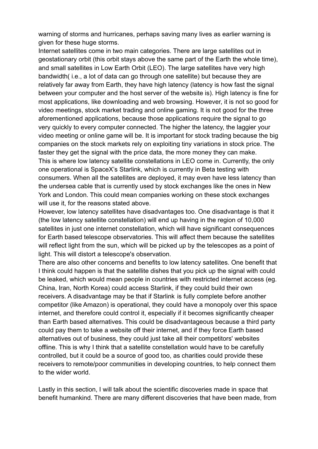warning of storms and hurricanes, perhaps saving many lives as earlier warning is given for these huge storms.

Internet satellites come in two main categories. There are large satellites out in geostationary orbit (this orbit stays above the same part of the Earth the whole time), and small satellites in Low Earth Orbit (LEO). The large satellites have very high bandwidth( i.e., a lot of data can go through one satellite) but because they are relatively far away from Earth, they have high latency (latency is how fast the signal between your computer and the host server of the website is). High latency is fine for most applications, like downloading and web browsing. However, it is not so good for video meetings, stock market trading and online gaming. It is not good for the three aforementioned applications, because those applications require the signal to go very quickly to every computer connected. The higher the latency, the laggier your video meeting or online game will be. It is important for stock trading because the big companies on the stock markets rely on exploiting tiny variations in stock price. The faster they get the signal with the price data, the more money they can make. This is where low latency satellite constellations in LEO come in. Currently, the only one operational is SpaceX's Starlink, which is currently in Beta testing with consumers. When all the satellites are deployed, it may even have less latency than the undersea cable that is currently used by stock exchanges like the ones in New York and London. This could mean companies working on these stock exchanges will use it, for the reasons stated above.

However, low latency satellites have disadvantages too. One disadvantage is that it (the low latency satellite constellation) will end up having in the region of 10,000 satellites in just one internet constellation, which will have significant consequences for Earth based telescope observatories. This will affect them because the satellites will reflect light from the sun, which will be picked up by the telescopes as a point of light. This will distort a telescope's observation.

There are also other concerns and benefits to low latency satellites. One benefit that I think could happen is that the satellite dishes that you pick up the signal with could be leaked, which would mean people in countries with restricted internet access (eg. China, Iran, North Korea) could access Starlink, if they could build their own receivers. A disadvantage may be that if Starlink is fully complete before another competitor (like Amazon) is operational, they could have a monopoly over this space internet, and therefore could control it, especially if it becomes significantly cheaper than Earth based alternatives. This could be disadvantageous because a third party could pay them to take a website off their internet, and if they force Earth based alternatives out of business, they could just take all their competitors' websites offline. This is why I think that a satellite constellation would have to be carefully controlled, but it could be a source of good too, as charities could provide these receivers to remote/poor communities in developing countries, to help connect them to the wider world.

Lastly in this section, I will talk about the scientific discoveries made in space that benefit humankind. There are many different discoveries that have been made, from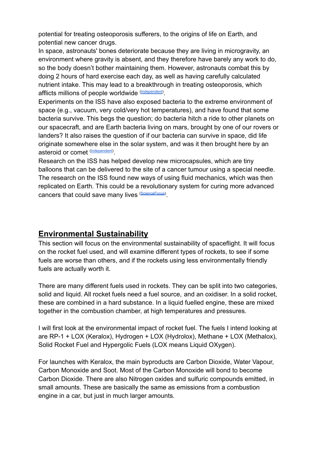potential for treating osteoporosis sufferers, to the origins of life on Earth, and potential new cancer drugs.

In space, astronauts' bones deteriorate because they are living in microgravity, an environment where gravity is absent, and they therefore have barely any work to do, so the body doesn't bother maintaining them. However, astronauts combat this by doing 2 hours of hard exercise each day, as well as having carefully calculated nutrient intake. This may lead to a breakthrough in treating osteoporosis, which afflicts millions of people worldwide [\(Independent](https://www.independent.co.uk/news/science/five-key-scientific-findings-15-years-international-space-station-a6796211.html)).

Experiments on the ISS have also exposed bacteria to the extreme environment of space (e.g., vacuum, very cold/very hot temperatures), and have found that some bacteria survive. This begs the question; do bacteria hitch a ride to other planets on our spacecraft, and are Earth bacteria living on mars, brought by one of our rovers or landers? It also raises the question of if our bacteria can survive in space, did life originate somewhere else in the solar system, and was it then brought here by an asteroid or comet [\(Independent](https://www.independent.co.uk/news/science/five-key-scientific-findings-15-years-international-space-station-a6796211.html)).

Research on the ISS has helped develop new microcapsules, which are tiny balloons that can be delivered to the site of a cancer tumour using a special needle. The research on the ISS found new ways of using fluid mechanics, which was then replicated on Earth. This could be a revolutionary system for curing more advanced cancers that could save many lives ([ScienceFocus](https://www.sciencefocus.com/space/five-things-the-iss-has-done-for-us/)).

#### **Environmental Sustainability**

This section will focus on the environmental sustainability of spaceflight. It will focus on the rocket fuel used, and will examine different types of rockets, to see if some fuels are worse than others, and if the rockets using less environmentally friendly fuels are actually worth it.

There are many different fuels used in rockets. They can be split into two categories, solid and liquid. All rocket fuels need a fuel source, and an oxidiser. In a solid rocket, these are combined in a hard substance. In a liquid fuelled engine, these are mixed together in the combustion chamber, at high temperatures and pressures.

I will first look at the environmental impact of rocket fuel. The fuels I intend looking at are RP-1 + LOX (Keralox), Hydrogen + LOX (Hydrolox), Methane + LOX (Methalox), Solid Rocket Fuel and Hypergolic Fuels (LOX means Liquid OXygen).

For launches with Keralox, the main byproducts are Carbon Dioxide, Water Vapour, Carbon Monoxide and Soot. Most of the Carbon Monoxide will bond to become Carbon Dioxide. There are also Nitrogen oxides and sulfuric compounds emitted, in small amounts. These are basically the same as emissions from a combustion engine in a car, but just in much larger amounts.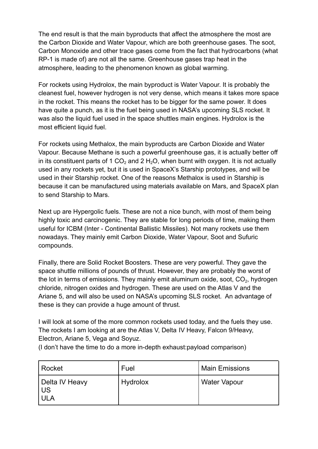The end result is that the main byproducts that affect the atmosphere the most are the Carbon Dioxide and Water Vapour, which are both greenhouse gases. The soot, Carbon Monoxide and other trace gases come from the fact that hydrocarbons (what RP-1 is made of) are not all the same. Greenhouse gases trap heat in the atmosphere, leading to the phenomenon known as global warming.

For rockets using Hydrolox, the main byproduct is Water Vapour. It is probably the cleanest fuel, however hydrogen is not very dense, which means it takes more space in the rocket. This means the rocket has to be bigger for the same power. It does have quite a punch, as it is the fuel being used in NASA's upcoming SLS rocket. It was also the liquid fuel used in the space shuttles main engines. Hydrolox is the most efficient liquid fuel.

For rockets using Methalox, the main byproducts are Carbon Dioxide and Water Vapour. Because Methane is such a powerful greenhouse gas, it is actually better off in its constituent parts of 1  $CO<sub>2</sub>$  and 2 H<sub>2</sub>O, when burnt with oxygen. It is not actually used in any rockets yet, but it is used in SpaceX's Starship prototypes, and will be used in their Starship rocket. One of the reasons Methalox is used in Starship is because it can be manufactured using materials available on Mars, and SpaceX plan to send Starship to Mars.

Next up are Hypergolic fuels. These are not a nice bunch, with most of them being highly toxic and carcinogenic. They are stable for long periods of time, making them useful for ICBM (Inter - Continental Ballistic Missiles). Not many rockets use them nowadays. They mainly emit Carbon Dioxide, Water Vapour, Soot and Sufuric compounds.

Finally, there are Solid Rocket Boosters. These are very powerful. They gave the space shuttle millions of pounds of thrust. However, they are probably the worst of the lot in terms of emissions. They mainly emit aluminum oxide, soot,  $CO<sub>2</sub>$ , hydrogen chloride, nitrogen oxides and hydrogen. These are used on the Atlas V and the Ariane 5, and will also be used on NASA's upcoming SLS rocket. An advantage of these is they can provide a huge amount of thrust.

I will look at some of the more common rockets used today, and the fuels they use. The rockets I am looking at are the Atlas V, Delta IV Heavy, Falcon 9/Heavy, Electron, Ariane 5, Vega and Soyuz.

(I don't have the time to do a more in-depth exhaust:payload comparison)

| Rocket                                    | Fuel     | <b>Main Emissions</b> |
|-------------------------------------------|----------|-----------------------|
| Delta IV Heavy<br><b>US</b><br><b>ULA</b> | Hydrolox | <b>Water Vapour</b>   |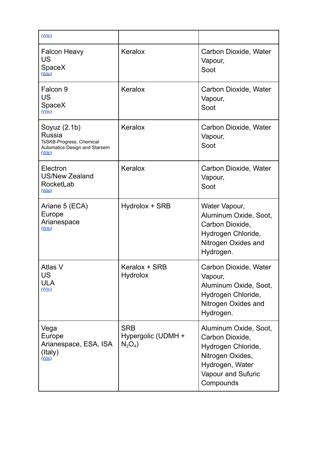| (Wiki)                                                                                                 |                                                |                                                                                                                                          |
|--------------------------------------------------------------------------------------------------------|------------------------------------------------|------------------------------------------------------------------------------------------------------------------------------------------|
| <b>Falcon Heavy</b><br>US<br>SpaceX<br>(Wiki)                                                          | Keralox                                        | Carbon Dioxide, Water<br>Vapour,<br>Soot                                                                                                 |
| Falcon 9<br>US<br>SpaceX<br>(Wiki)                                                                     | Keralox                                        | Carbon Dioxide, Water<br>Vapour,<br>Soot                                                                                                 |
| Soyuz $(2.1b)$<br><b>Russia</b><br>TsSKB-Progress, Chemical<br>Automatics Design and Starsem<br>(Wiki) | Keralox                                        | Carbon Dioxide, Water<br>Vapour,<br>Soot                                                                                                 |
| Electron<br><b>US/New Zealand</b><br>RocketLab<br>(Wiki)                                               | Keralox                                        | Carbon Dioxide, Water<br>Vapour,<br>Soot                                                                                                 |
| Ariane 5 (ECA)<br>Europe<br>Arianespace<br><u>(Wiki)</u>                                               | Hydrolox + SRB                                 | Water Vapour,<br>Aluminum Oxide, Soot,<br>Carbon Dioxide,<br>Hydrogen Chloride,<br>Nitrogen Oxides and<br>Hydrogen.                      |
| Atlas V<br><b>US</b><br><b>ULA</b><br>(Wiki)                                                           | Keralox + SRB<br><b>Hydrolox</b>               | Carbon Dioxide, Water<br>Vapour,<br>Aluminum Oxide, Soot,<br>Hydrogen Chloride,<br>Nitrogen Oxides and<br>Hydrogen.                      |
| Vega<br>Europe<br>Arianespace, ESA, ISA<br>(Italy)<br>(Wiki)                                           | <b>SRB</b><br>Hypergolic (UDMH +<br>$N_2O_4$ ) | Aluminum Oxide, Soot,<br>Carbon Dioxide,<br>Hydrogen Chloride,<br>Nitrogen Oxides,<br>Hydrogen, Water<br>Vapour and Sufuric<br>Compounds |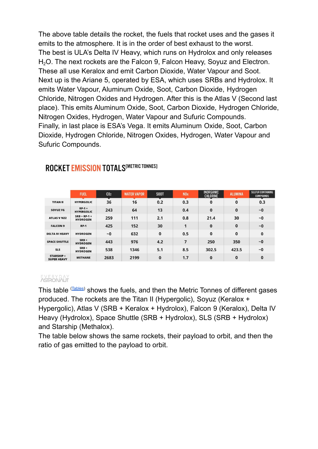The above table details the rocket, the fuels that rocket uses and the gases it emits to the atmosphere. It is in the order of best exhaust to the worst. The best is ULA's Delta IV Heavy, which runs on Hydrolox and only releases H<sub>2</sub>O. The next rockets are the Falcon 9, Falcon Heavy, Soyuz and Electron. These all use Keralox and emit Carbon Dioxide, Water Vapour and Soot. Next up is the Ariane 5, operated by ESA, which uses SRBs and Hydrolox. It emits Water Vapour, Aluminum Oxide, Soot, Carbon Dioxide, Hydrogen Chloride, Nitrogen Oxides and Hydrogen. After this is the Atlas V (Second last place). This emits Aluminum Oxide, Soot, Carbon Dioxide, Hydrogen Chloride, Nitrogen Oxides, Hydrogen, Water Vapour and Sufuric Compounds. Finally, in last place is ESA's Vega. It emits Aluminum Oxide, Soot, Carbon Dioxide, Hydrogen Chloride, Nitrogen Oxides, Hydrogen, Water Vapour and Sufuric Compounds.

|                                  | <b>FUEL</b>                       | C <sub>02</sub> | <b>WATER VAPOR</b> | <b>SOOT</b> | <b>NO<sub>x</sub></b> | <b>INORGANIC</b><br><b>CHLORINE</b> | <b>ALUMINA</b> | <b>SULFUR CONTAINING</b><br><b>COMPOUNDS</b> |
|----------------------------------|-----------------------------------|-----------------|--------------------|-------------|-----------------------|-------------------------------------|----------------|----------------------------------------------|
| <b>TITAN II</b>                  | <b>HYPERGOLIC</b>                 | 36              | 16                 | 0.2         | 0.3                   | 0                                   | 0              | 0.3                                          |
| SOYUZ FG                         | $RP-1+$<br><b>HYPERGOLIC</b>      | 243             | 64                 | 13          | 0.4                   | $\mathbf 0$                         | $\mathbf 0$    | $\sim$ 0                                     |
| <b>ATLAS V N22</b>               | $SRB + RP-1 +$<br><b>HYDROGEN</b> | 259             | 111                | 2.1         | 0.8                   | 21.4                                | 30             | ~1                                           |
| <b>FALCON 9</b>                  | <b>RP-1</b>                       | 425             | 152                | 30          | 1                     | $\mathbf 0$                         | $\mathbf 0$    | ~0                                           |
| <b>DELTA IV HEAVY</b>            | <b>HYDROGEN</b>                   | ~0              | 632                | 0           | 0.5                   | $\mathbf 0$                         | 0              | 0                                            |
| <b>SPACE SHUTTLE</b>             | $SRB +$<br><b>HYDROGEN</b>        | 443             | 976                | 4.2         | 7                     | 250                                 | 350            | ~1                                           |
| <b>SLS</b>                       | $SRB +$<br><b>HYDROGEN</b>        | 538             | 1346               | 5.1         | 8.5                   | 302.5                               | 423.5          | ~0                                           |
| STARSHIP +<br><b>SUPER HEAVY</b> | <b>METHANE</b>                    | 2683            | 2199               | $\bf{0}$    | 1.7                   | 0                                   | $\bf{0}$       | 0                                            |

#### ROCKET EMISSION TOTALS<sup>[METRIC TONNES]</sup>

### EVERYDAY<br>ASTRONAUT

This table ([Tables](https://everydayastronaut.com/rocket-pollution/)) shows the fuels, and then the Metric Tonnes of different gases produced. The rockets are the Titan II (Hypergolic), Soyuz (Keralox + Hypergolic), Atlas V (SRB + Keralox + Hydrolox), Falcon 9 (Keralox), Delta IV Heavy (Hydrolox), Space Shuttle (SRB + Hydrolox), SLS (SRB + Hydrolox) and Starship (Methalox).

The table below shows the same rockets, their payload to orbit, and then the ratio of gas emitted to the payload to orbit.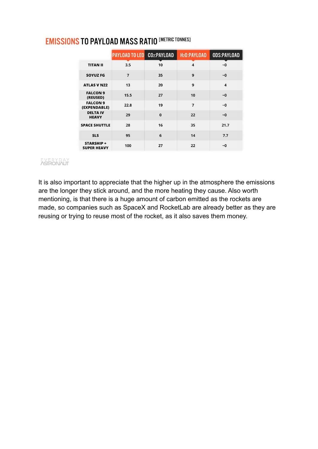|                                         | PAYLOAD TO LEO CO2:PAYLOAD |          | H <sub>2</sub> O:PAYLOAD | <b>ODS:PAYLOAD</b>      |
|-----------------------------------------|----------------------------|----------|--------------------------|-------------------------|
| <b>TITAN II</b>                         | 3.5                        | 10       | 4                        | ~10                     |
| <b>SOYUZ FG</b>                         | $\overline{7}$             | 35       | 9                        | $\sim 0$                |
| <b>ATLAS V N22</b>                      | 13                         | 20       | 9                        | $\overline{\mathbf{4}}$ |
| <b>FALCON 9</b><br>(REUSED)             | 15.5                       | 27       | 10                       | $\sim$ 0                |
| <b>FALCON 9</b><br>(EXPENDABLE)         | 22.8                       | 19       | $\overline{7}$           | $\sim 0$                |
| <b>DELTAIV</b><br><b>HEAVY</b>          | 29                         | $\Omega$ | 22                       | ~1                      |
| <b>SPACE SHUTTLE</b>                    | 28                         | 16       | 35                       | 21.7                    |
| <b>SLS</b>                              | 95                         | 6        | 14                       | 7.7                     |
| <b>STARSHIP +</b><br><b>SUPER HEAVY</b> | 100                        | 27       | 22                       | $-0$                    |

### **EMISSIONS TO PAYLOAD MASS RATIO [METRIC TONNES]**

#### **ASRONALT**

It is also important to appreciate that the higher up in the atmosphere the emissions are the longer they stick around, and the more heating they cause. Also worth mentioning, is that there is a huge amount of carbon emitted as the rockets are made, so companies such as SpaceX and RocketLab are already better as they are reusing or trying to reuse most of the rocket, as it also saves them money.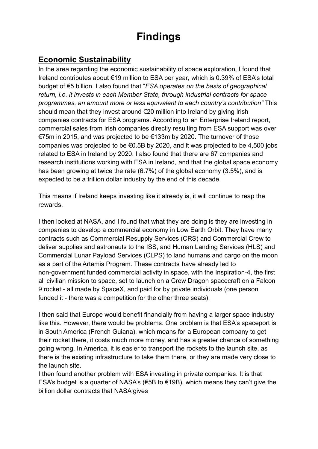# **Findings**

#### **Economic Sustainability**

In the area regarding the economic sustainability of space exploration, I found that Ireland contributes about €19 million to ESA per year, which is 0.39% of ESA's total budget of €5 billion. I also found that "*ESA operates on the basis of geographical return, i.e. it invests in each Member State, through industrial contracts for space programmes, an amount more or less equivalent to each country's contribution"* This should mean that they invest around €20 million into Ireland by giving Irish companies contracts for ESA programs. According to an Enterprise Ireland report, commercial sales from Irish companies directly resulting from ESA support was over €75m in 2015, and was projected to be €133m by 2020. The turnover of those companies was projected to be €0.5B by 2020, and it was projected to be 4,500 jobs related to ESA in Ireland by 2020. I also found that there are 67 companies and research institutions working with ESA in Ireland, and that the global space economy has been growing at twice the rate (6.7%) of the global economy (3.5%), and is expected to be a trillion dollar industry by the end of this decade.

This means if Ireland keeps investing like it already is, it will continue to reap the rewards.

I then looked at NASA, and I found that what they are doing is they are investing in companies to develop a commercial economy in Low Earth Orbit. They have many contracts such as Commercial Resupply Services (CRS) and Commercial Crew to deliver supplies and astronauts to the ISS, and Human Landing Services (HLS) and Commercial Lunar Payload Services (CLPS) to land humans and cargo on the moon as a part of the Artemis Program. These contracts have already led to non-government funded commercial activity in space, with the Inspiration-4, the first all civilian mission to space, set to launch on a Crew Dragon spacecraft on a Falcon 9 rocket - all made by SpaceX, and paid for by private individuals (one person funded it - there was a competition for the other three seats).

I then said that Europe would benefit financially from having a larger space industry like this. However, there would be problems. One problem is that ESA's spaceport is in South America (French Guiana), which means for a European company to get their rocket there, it costs much more money, and has a greater chance of something going wrong. In America, it is easier to transport the rockets to the launch site, as there is the existing infrastructure to take them there, or they are made very close to the launch site.

I then found another problem with ESA investing in private companies. It is that ESA's budget is a quarter of NASA's (€5B to €19B), which means they can't give the billion dollar contracts that NASA gives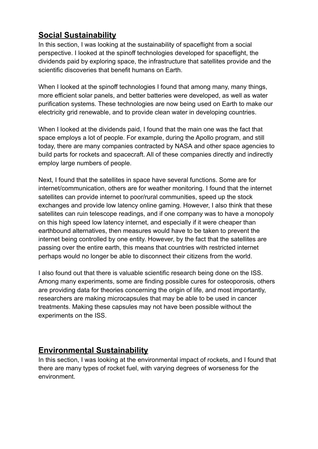#### **Social Sustainability**

In this section, I was looking at the sustainability of spaceflight from a social perspective. I looked at the spinoff technologies developed for spaceflight, the dividends paid by exploring space, the infrastructure that satellites provide and the scientific discoveries that benefit humans on Earth.

When I looked at the spinoff technologies I found that among many, many things, more efficient solar panels, and better batteries were developed, as well as water purification systems. These technologies are now being used on Earth to make our electricity grid renewable, and to provide clean water in developing countries.

When I looked at the dividends paid, I found that the main one was the fact that space employs a lot of people. For example, during the Apollo program, and still today, there are many companies contracted by NASA and other space agencies to build parts for rockets and spacecraft. All of these companies directly and indirectly employ large numbers of people.

Next, I found that the satellites in space have several functions. Some are for internet/communication, others are for weather monitoring. I found that the internet satellites can provide internet to poor/rural communities, speed up the stock exchanges and provide low latency online gaming. However, I also think that these satellites can ruin telescope readings, and if one company was to have a monopoly on this high speed low latency internet, and especially if it were cheaper than earthbound alternatives, then measures would have to be taken to prevent the internet being controlled by one entity. However, by the fact that the satellites are passing over the entire earth, this means that countries with restricted internet perhaps would no longer be able to disconnect their citizens from the world.

I also found out that there is valuable scientific research being done on the ISS. Among many experiments, some are finding possible cures for osteoporosis, others are providing data for theories concerning the origin of life, and most importantly, researchers are making microcapsules that may be able to be used in cancer treatments. Making these capsules may not have been possible without the experiments on the ISS.

#### **Environmental Sustainability**

In this section, I was looking at the environmental impact of rockets, and I found that there are many types of rocket fuel, with varying degrees of worseness for the environment.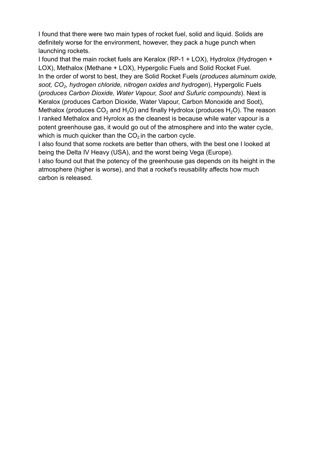I found that there were two main types of rocket fuel, solid and liquid. Solids are definitely worse for the environment, however, they pack a huge punch when launching rockets.

I found that the main rocket fuels are Keralox (RP-1 + LOX), Hydrolox (Hydrogen + LOX), Methalox (Methane + LOX), Hypergolic Fuels and Solid Rocket Fuel. In the order of worst to best, they are Solid Rocket Fuels (*produces aluminum oxide, soot, CO<sup>2</sup> , hydrogen chloride, nitrogen oxides and hydrogen*), Hypergolic Fuels (*produces Carbon Dioxide, Water Vapour, Soot and Sufuric compounds*). Next is Keralox (produces Carbon Dioxide, Water Vapour, Carbon Monoxide and Soot), Methalox (produces  $CO<sub>2</sub>$  and H<sub>2</sub>O) and finally Hydrolox (produces H<sub>2</sub>O). The reason I ranked Methalox and Hyrolox as the cleanest is because while water vapour is a potent greenhouse gas, it would go out of the atmosphere and into the water cycle, which is much quicker than the  $CO<sub>2</sub>$  in the carbon cycle.

I also found that some rockets are better than others, with the best one I looked at being the Delta IV Heavy (USA), and the worst being Vega (Europe).

I also found out that the potency of the greenhouse gas depends on its height in the atmosphere (higher is worse), and that a rocket's reusability affects how much carbon is released.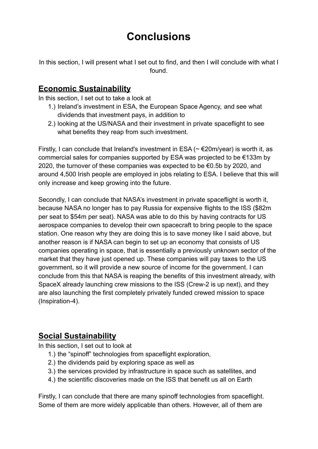### **Conclusions**

In this section, I will present what I set out to find, and then I will conclude with what I found.

#### **Economic Sustainability**

In this section, I set out to take a look at

- 1.) Ireland's investment in ESA, the European Space Agency, and see what dividends that investment pays, in addition to
- 2.) looking at the US/NASA and their investment in private spaceflight to see what benefits they reap from such investment.

Firstly, I can conclude that Ireland's investment in ESA ( $\sim \epsilon$ 20m/year) is worth it, as commercial sales for companies supported by ESA was projected to be €133m by 2020, the turnover of these companies was expected to be  $\epsilon$ 0.5b by 2020, and around 4,500 Irish people are employed in jobs relating to ESA. I believe that this will only increase and keep growing into the future.

Secondly, I can conclude that NASA's investment in private spaceflight is worth it, because NASA no longer has to pay Russia for expensive flights to the ISS (\$82m per seat to \$54m per seat). NASA was able to do this by having contracts for US aerospace companies to develop their own spacecraft to bring people to the space station. One reason why they are doing this is to save money like I said above, but another reason is if NASA can begin to set up an economy that consists of US companies operating in space, that is essentially a previously unknown sector of the market that they have just opened up. These companies will pay taxes to the US government, so it will provide a new source of income for the government. I can conclude from this that NASA is reaping the benefits of this investment already, with SpaceX already launching crew missions to the ISS (Crew-2 is up next), and they are also launching the first completely privately funded crewed mission to space (Inspiration-4).

#### **Social Sustainability**

In this section, I set out to look at

- 1.) the "spinoff" technologies from spaceflight exploration,
- 2.) the dividends paid by exploring space as well as
- 3.) the services provided by infrastructure in space such as satellites, and
- 4.) the scientific discoveries made on the ISS that benefit us all on Earth

Firstly, I can conclude that there are many spinoff technologies from spaceflight. Some of them are more widely applicable than others. However, all of them are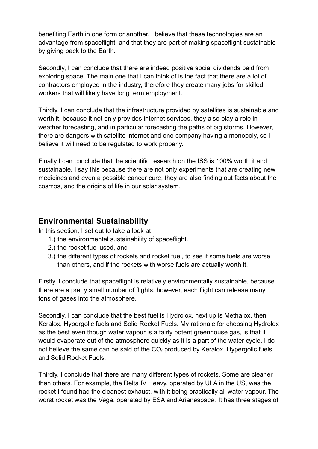benefiting Earth in one form or another. I believe that these technologies are an advantage from spaceflight, and that they are part of making spaceflight sustainable by giving back to the Earth.

Secondly, I can conclude that there are indeed positive social dividends paid from exploring space. The main one that I can think of is the fact that there are a lot of contractors employed in the industry, therefore they create many jobs for skilled workers that will likely have long term employment.

Thirdly, I can conclude that the infrastructure provided by satellites is sustainable and worth it, because it not only provides internet services, they also play a role in weather forecasting, and in particular forecasting the paths of big storms. However, there are dangers with satellite internet and one company having a monopoly, so I believe it will need to be regulated to work properly.

Finally I can conclude that the scientific research on the ISS is 100% worth it and sustainable. I say this because there are not only experiments that are creating new medicines and even a possible cancer cure, they are also finding out facts about the cosmos, and the origins of life in our solar system.

#### **Environmental Sustainability**

In this section, I set out to take a look at

- 1.) the environmental sustainability of spaceflight.
- 2.) the rocket fuel used, and
- 3.) the different types of rockets and rocket fuel, to see if some fuels are worse than others, and if the rockets with worse fuels are actually worth it.

Firstly, I conclude that spaceflight is relatively environmentally sustainable, because there are a pretty small number of flights, however, each flight can release many tons of gases into the atmosphere.

Secondly, I can conclude that the best fuel is Hydrolox, next up is Methalox, then Keralox, Hypergolic fuels and Solid Rocket Fuels. My rationale for choosing Hydrolox as the best even though water vapour is a fairly potent greenhouse gas, is that it would evaporate out of the atmosphere quickly as it is a part of the water cycle. I do not believe the same can be said of the  $CO<sub>2</sub>$  produced by Keralox, Hypergolic fuels and Solid Rocket Fuels.

Thirdly, I conclude that there are many different types of rockets. Some are cleaner than others. For example, the Delta IV Heavy, operated by ULA in the US, was the rocket I found had the cleanest exhaust, with it being practically all water vapour. The worst rocket was the Vega, operated by ESA and Arianespace. It has three stages of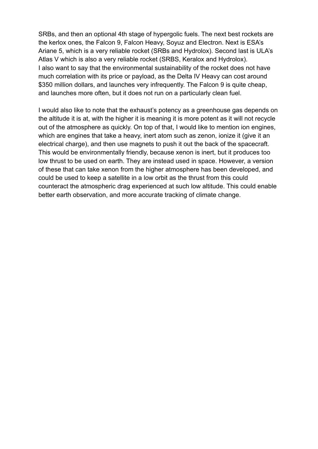SRBs, and then an optional 4th stage of hypergolic fuels. The next best rockets are the kerlox ones, the Falcon 9, Falcon Heavy, Soyuz and Electron. Next is ESA's Ariane 5, which is a very reliable rocket (SRBs and Hydrolox). Second last is ULA's Atlas V which is also a very reliable rocket (SRBS, Keralox and Hydrolox). I also want to say that the environmental sustainability of the rocket does not have much correlation with its price or payload, as the Delta IV Heavy can cost around \$350 million dollars, and launches very infrequently. The Falcon 9 is quite cheap, and launches more often, but it does not run on a particularly clean fuel.

I would also like to note that the exhaust's potency as a greenhouse gas depends on the altitude it is at, with the higher it is meaning it is more potent as it will not recycle out of the atmosphere as quickly. On top of that, I would like to mention ion engines, which are engines that take a heavy, inert atom such as zenon, ionize it (give it an electrical charge), and then use magnets to push it out the back of the spacecraft. This would be environmentally friendly, because xenon is inert, but it produces too low thrust to be used on earth. They are instead used in space. However, a version of these that can take xenon from the higher atmosphere has been developed, and could be used to keep a satellite in a low orbit as the thrust from this could counteract the atmospheric drag experienced at such low altitude. This could enable better earth observation, and more accurate tracking of climate change.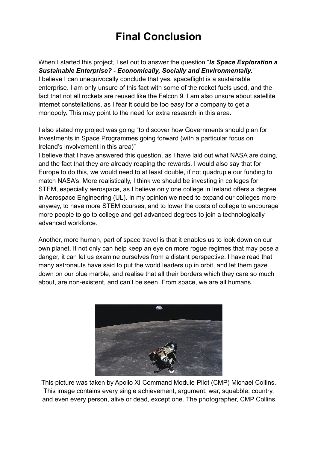# **Final Conclusion**

When I started this project, I set out to answer the question "*Is Space Exploration a Sustainable Enterprise? - Economically, Socially and Environmentally.*" I believe I can unequivocally conclude that yes, spaceflight is a sustainable enterprise. I am only unsure of this fact with some of the rocket fuels used, and the fact that not all rockets are reused like the Falcon 9. I am also unsure about satellite internet constellations, as I fear it could be too easy for a company to get a monopoly. This may point to the need for extra research in this area.

I also stated my project was going "to discover how Governments should plan for Investments in Space Programmes going forward (with a particular focus on Ireland's involvement in this area)"

I believe that I have answered this question, as I have laid out what NASA are doing, and the fact that they are already reaping the rewards. I would also say that for Europe to do this, we would need to at least double, if not quadruple our funding to match NASA's. More realistically, I think we should be investing in colleges for STEM, especially aerospace, as I believe only one college in Ireland offers a degree in Aerospace Engineering (UL). In my opinion we need to expand our colleges more anyway, to have more STEM courses, and to lower the costs of college to encourage more people to go to college and get advanced degrees to join a technologically advanced workforce.

Another, more human, part of space travel is that it enables us to look down on our own planet. It not only can help keep an eye on more rogue regimes that may pose a danger, it can let us examine ourselves from a distant perspective. I have read that many astronauts have said to put the world leaders up in orbit, and let them gaze down on our blue marble, and realise that all their borders which they care so much about, are non-existent, and can't be seen. From space, we are all humans.



This picture was taken by Apollo XI Command Module Pilot (CMP) Michael Collins. This image contains every single achievement, argument, war, squabble, country, and even every person, alive or dead, except one. The photographer, CMP Collins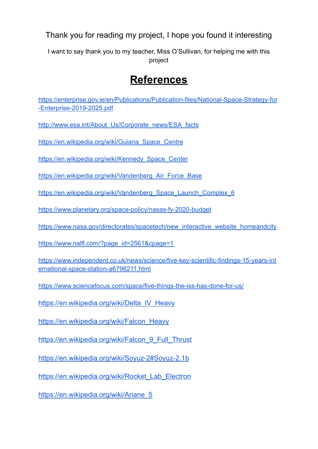Thank you for reading my project, I hope you found it interesting

I want to say thank you to my teacher, Miss O'Sullivan, for helping me with this project

### **References**

[https://enterprise.gov.ie/en/Publications/Publication-files/National-Space-Strategy-for](https://enterprise.gov.ie/en/Publications/Publication-files/National-Space-Strategy-for-Enterprise-2019-2025.pdf) [-Enterprise-2019-2025.pdf](https://enterprise.gov.ie/en/Publications/Publication-files/National-Space-Strategy-for-Enterprise-2019-2025.pdf)

[http://www.esa.int/About\\_Us/Corporate\\_news/ESA\\_facts](http://www.esa.int/About_Us/Corporate_news/ESA_facts)

[https://en.wikipedia.org/wiki/Guiana\\_Space\\_Centre](https://en.wikipedia.org/wiki/Guiana_Space_Centre)

https://en.wikipedia.org/wiki/Kennedy Space Center

[https://en.wikipedia.org/wiki/Vandenberg\\_Air\\_Force\\_Base](https://en.wikipedia.org/wiki/Vandenberg_Air_Force_Base)

[https://en.wikipedia.org/wiki/Vandenberg\\_Space\\_Launch\\_Complex\\_6](https://en.wikipedia.org/wiki/Vandenberg_Space_Launch_Complex_6)

<https://www.planetary.org/space-policy/nasas-fy-2020-budget>

[https://www.nasa.gov/directorates/spacetech/new\\_interactive\\_website\\_homeandcity](https://www.nasa.gov/directorates/spacetech/new_interactive_website_homeandcity)

[https://www.nalfl.com/?page\\_id=2561&cpage=1](https://www.nalfl.com/?page_id=2561&cpage=1)

[https://www.independent.co.uk/news/science/five-key-scientific-findings-15-years-int](https://www.independent.co.uk/news/science/five-key-scientific-findings-15-years-international-space-station-a6796211.html) [ernational-space-station-a6796211.html](https://www.independent.co.uk/news/science/five-key-scientific-findings-15-years-international-space-station-a6796211.html)

<https://www.sciencefocus.com/space/five-things-the-iss-has-done-for-us/>

[https://en.wikipedia.org/wiki/Delta\\_IV\\_Heavy](https://en.wikipedia.org/wiki/Delta_IV_Heavy)

[https://en.wikipedia.org/wiki/Falcon\\_Heavy](https://en.wikipedia.org/wiki/Falcon_Heavy)

[https://en.wikipedia.org/wiki/Falcon\\_9\\_Full\\_Thrust](https://en.wikipedia.org/wiki/Falcon_9_Full_Thrust)

<https://en.wikipedia.org/wiki/Soyuz-2#Soyuz-2.1b>

[https://en.wikipedia.org/wiki/Rocket\\_Lab\\_Electron](https://en.wikipedia.org/wiki/Rocket_Lab_Electron)

[https://en.wikipedia.org/wiki/Ariane\\_5](https://en.wikipedia.org/wiki/Ariane_5)